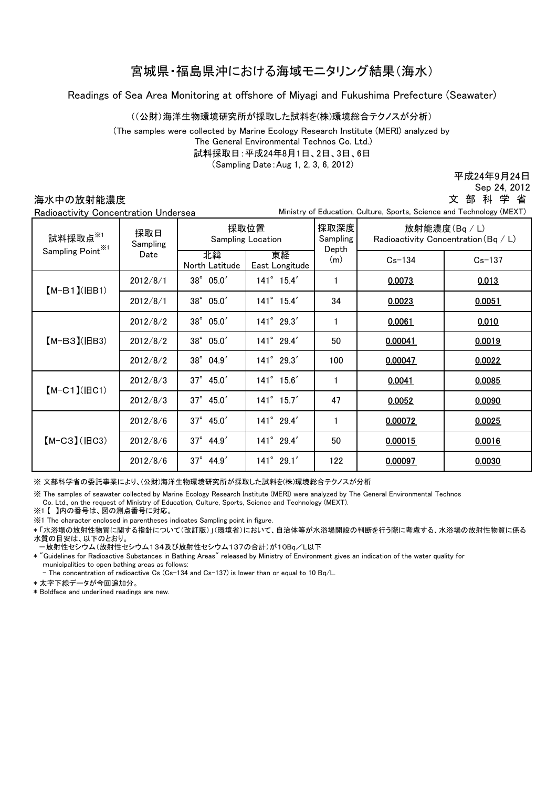## 宮城県・福島県沖における海域モニタリング結果(海水)

Readings of Sea Area Monitoring at offshore of Miyagi and Fukushima Prefecture (Seawater)

((公財)海洋生物環境研究所が採取した試料を(株)環境総合テクノスが分析)

(The samples were collected by Marine Ecology Research Institute (MERI) analyzed by The General Environmental Technos Co. Ltd.)

試料採取日:平成24年8月1日、2日、3日、6日

(Sampling Date:Aug 1, 2, 3, 6, 2012)

平成24年9月24日

Sep 24, 2012

## 海水中の放射能濃度 Radioactivity Concentration Undersea

 Ministry of Education, Culture, Sports, Science and Technology (MEXT) 文 部 科 学 省

| nauloactivity Oblicentration Ondersea      |                         |                                  |                      |                           | minod y or Eddoddon, Oditaro, Oporto, Oolonoo dha Toonnology (MEAT) |            |
|--------------------------------------------|-------------------------|----------------------------------|----------------------|---------------------------|---------------------------------------------------------------------|------------|
| 試料採取点 $*$<br>Sampling Point <sup>**1</sup> | 採取日<br>Sampling<br>Date | 採取位置<br><b>Sampling Location</b> |                      | 採取深度<br>Sampling<br>Depth | 放射能濃度(Bq / L)<br>Radioactivity Concentration (Bq / L)               |            |
|                                            |                         | 北緯<br>North Latitude             | 東経<br>East Longitude | (m)                       | $Cs - 134$                                                          | $Cs - 137$ |
| $(M-B1)(IBB1)$                             | 2012/8/1                | 38° 05.0'                        | $141^{\circ}$ 15.4'  | 1                         | 0.0073                                                              | 0.013      |
|                                            | 2012/8/1                | 38°05.0'                         | $141^{\circ}$ 15.4'  | 34                        | 0.0023                                                              | 0.0051     |
| $(M-B3)(HB3)$                              | 2012/8/2                | 38°05.0'                         | 141° 29.3'           | $\mathbf{1}$              | 0.0061                                                              | 0.010      |
|                                            | 2012/8/2                | 38°05.0'                         | 141° 29.4'           | 50                        | 0.00041                                                             | 0.0019     |
|                                            | 2012/8/2                | 38° 04.9'                        | 141° 29.3'           | 100                       | 0.00047                                                             | 0.0022     |
| $[M-C1]$ ( $ HC1$ )                        | 2012/8/3                | $37^{\circ}$ 45.0'               | $141^{\circ}$ 15.6'  |                           | 0.0041                                                              | 0.0085     |
|                                            | 2012/8/3                | $37^{\circ}$ 45.0'               | $141^{\circ}$ 15.7'  | 47                        | 0.0052                                                              | 0.0090     |
| $[M-C3]$ ( $ BC3$ )                        | 2012/8/6                | 37° 45.0'                        | 141° 29.4'           | $\mathbf{1}$              | 0.00072                                                             | 0.0025     |
|                                            | 2012/8/6                | $37^\circ$ 44.9'                 | 141° 29.4'           | 50                        | 0.00015                                                             | 0.0016     |
|                                            | 2012/8/6                | $37^{\circ}$ 44.9'               | $141^{\circ}$ 29.1'  | 122                       | 0.00097                                                             | 0.0030     |

※ 文部科学省の委託事業により、(公財)海洋生物環境研究所が採取した試料を(株)環境総合テクノスが分析

※ The samples of seawater collected by Marine Ecology Research Institute (MERI) were analyzed by The General Environmental Technos

Co. Ltd., on the request of Ministry of Education, Culture, Sports, Science and Technology (MEXT).

※1 【 】内の番号は、図の測点番号に対応。

※1 The character enclosed in parentheses indicates Sampling point in figure.

\* 「水浴場の放射性物質に関する指針について(改訂版)」(環境省)において、自治体等が水浴場開設の判断を行う際に考慮する、水浴場の放射性物質に係る 水質の目安は、以下のとおり。

-放射性セシウム(放射性セシウム134及び放射性セシウム137の合計)が10Bq/L以下

\* "Guidelines for Radioactive Substances in Bathing Areas" released by Ministry of Environment gives an indication of the water quality for municipalities to open bathing areas as follows:

- The concentration of radioactive Cs (Cs-134 and Cs-137) is lower than or equal to 10 Bq/L.

\* 太字下線データが今回追加分。

\* Boldface and underlined readings are new.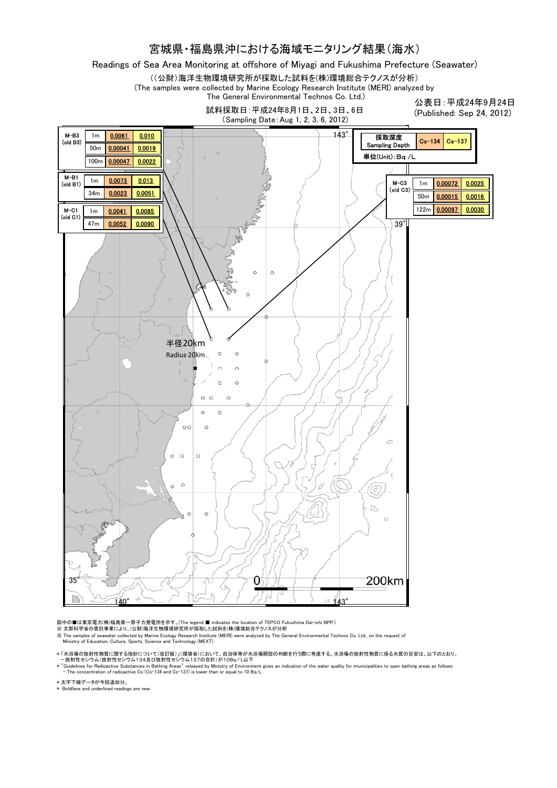## 宮城県・福島県沖における海域モニタリング結果(海水)

Readings of Sea Area Monitoring at offshore of Miyagi and Fukushima Prefecture (Seawater)

((公財)海洋生物環境研究所が採取した試料を(株)環境総合テクノスが分析)

(The samples were collected by Marine Ecology Research Institute (MERI) analyzed by The General Environmental Technos Co. Ltd.)

> 試料採取日:平成24年8月1日、2日、3日、6日 (Sampling Date:Aug 1, 2, 3, 6, 2012)

公表日:平成24年9月24日 (Published: Sep 24, 2012)



図中の■は東京電力(株)福島第一原子力発電所を示す。(The legend ■ indicates the location of TEPCO Fukushima Dai-ichi NPP.)<br>※ 文部科学省の委託事業により、(公財)海洋生物環境研究所が採取した試料を(株)環境総合テクノスが分析

K The samples of seawater collected by Marine Ecology Research Institute (MERI) were analyzed by The General Environmental Technos Co. Ltd., on the request of Ministry of Education, Culture, Sports, Science and Technology

\*「水浴場の放射性物質に関する指針について(改訂版)」(環境省)において、自治体等が水浴場開設の判断を行う際に考慮する、 水浴場の放射性物質に係る水質の目安は、 以下のとおり。<br>- 放射性センウム(放射性セシウム134及び放射性セシウム137の合計)が10Bq/L以下<br>\* "Guidelines for Radioactive Substances in Bathing Areas" released by Ministry of En

\* 太字下線データが今回追加分。

\* Boldface and underlined readings are new.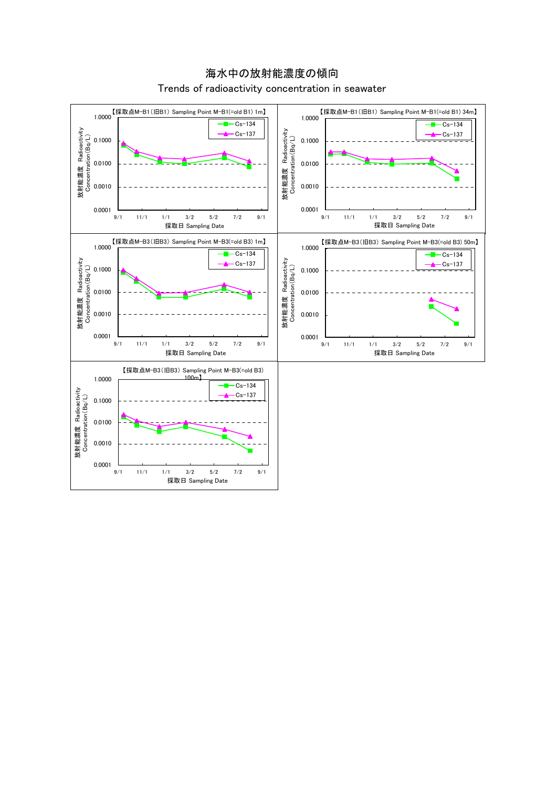